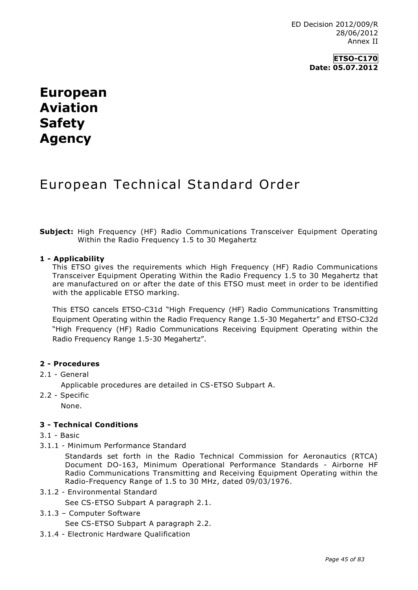## **European Aviation Safety Agency**

# European Technical Standard Order

**Subject:** High Frequency (HF) Radio Communications Transceiver Equipment Operating Within the Radio Frequency 1.5 to 30 Megahertz

## **1 - Applicability**

This ETSO gives the requirements which High Frequency (HF) Radio Communications Transceiver Equipment Operating Within the Radio Frequency 1.5 to 30 Megahertz that are manufactured on or after the date of this ETSO must meet in order to be identified with the applicable ETSO marking.

This ETSO cancels ETSO-C31d "High Frequency (HF) Radio Communications Transmitting Equipment Operating within the Radio Frequency Range 1.5-30 Megahertz" and ETSO-C32d "High Frequency (HF) Radio Communications Receiving Equipment Operating within the Radio Frequency Range 1.5-30 Megahertz".

## **2 - Procedures**

#### 2.1 - General

Applicable procedures are detailed in CS-ETSO Subpart A.

2.2 - Specific None.

## **3 - Technical Conditions**

- 3.1 Basic
- 3.1.1 Minimum Performance Standard

Standards set forth in the Radio Technical Commission for Aeronautics (RTCA) Document DO-163, Minimum Operational Performance Standards - Airborne HF Radio Communications Transmitting and Receiving Equipment Operating within the Radio-Frequency Range of 1.5 to 30 MHz, dated 09/03/1976.

3.1.2 - Environmental Standard

See CS-ETSO Subpart A paragraph 2.1.

3.1.3 – Computer Software

See CS-ETSO Subpart A paragraph 2.2.

3.1.4 - Electronic Hardware Qualification